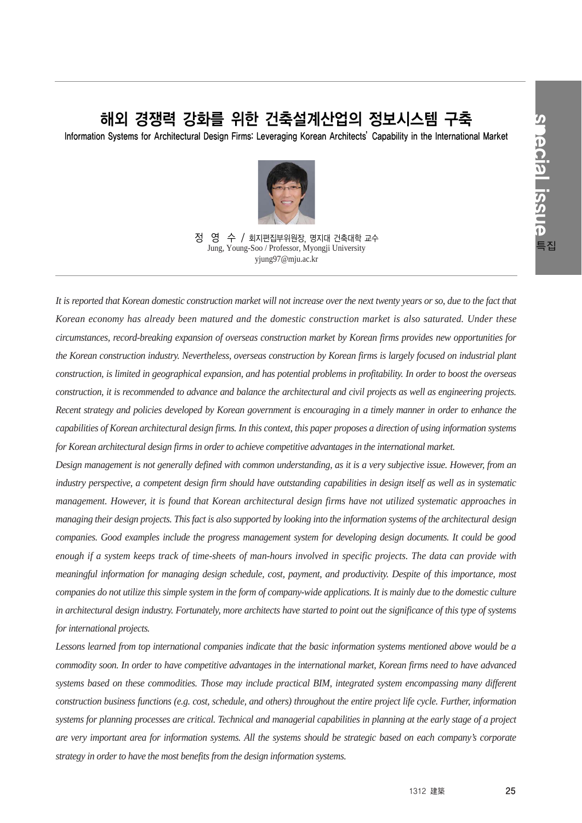# 해외 경쟁력 강화를 위한 건축설계산업의 정보시스템 구축

Information Systems for Architectural Design Firms: Leveraging Korean Architects'Capability in the International Market



정 영 수 / 회지편집부위원장, 명지대 건축대학 교수 Jung, Young-Soo / Professor, Myongji University yjung97@mju.ac.kr

*It is reported that Korean domestic construction market will not increase over the next twenty years or so, due to the fact that Korean economy has already been matured and the domestic construction market is also saturated. Under these circumstances, record-breaking expansion of overseas construction market by Korean firms provides new opportunities for the Korean construction industry. Nevertheless, overseas construction by Korean firms is largely focused on industrial plant construction, is limited in geographical expansion, and has potential problems in profitability. In order to boost the overseas construction, it is recommended to advance and balance the architectural and civil projects as well as engineering projects. Recent strategy and policies developed by Korean government is encouraging in a timely manner in order to enhance the capabilities of Korean architectural design firms. In this context, this paper proposes a direction of using information systems for Korean architectural design firms in order to achieve competitive advantages in the international market.*

*Design management is not generally defined with common understanding, as it is a very subjective issue. However, from an industry perspective, a competent design firm should have outstanding capabilities in design itself as well as in systematic management. However, it is found that Korean architectural design firms have not utilized systematic approaches in managing their design projects. This fact is also supported by looking into the information systems of the architectural design companies. Good examples include the progress management system for developing design documents. It could be good enough if a system keeps track of time-sheets of man-hours involved in specific projects. The data can provide with meaningful information for managing design schedule, cost, payment, and productivity. Despite of this importance, most companies do not utilize this simple system in the form of company-wide applications. It is mainly due to the domestic culture in architectural design industry. Fortunately, more architects have started to point out the significance of this type of systems for international projects.*

*Lessons learned from top international companies indicate that the basic information systems mentioned above would be a commodity soon. In order to have competitive advantages in the international market, Korean firms need to have advanced systems based on these commodities. Those may include practical BIM, integrated system encompassing many different construction business functions (e.g. cost, schedule, and others) throughout the entire project life cycle. Further, information systems for planning processes are critical. Technical and managerial capabilities in planning at the early stage of a project are very important area for information systems. All the systems should be strategic based on each company's corporate strategy in order to have the most benefits from the design information systems.*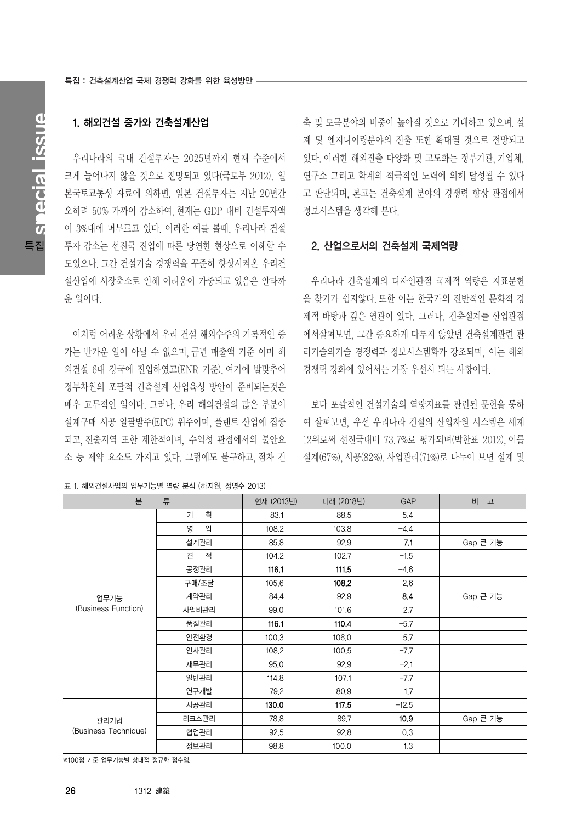# 1. 해외건설 증가와 건축설계산업

우리나라의 국내 건설투자는 2025년까지 현재 수준에서 크게 늘어나지 않을 것으로 전망되고 있다(국토부 2012). 일 본국토교통성 자료에 의하면, 일본 건설투자는 지난 20년간 오히려 50% 가까이 감소하여,현재는 GDP 대비 건설투자액 이 3%대에 머무르고 있다. 이러한 예를 볼때, 우리나라 건설 투자 감소는 선진국 진입에 따른 당연한 현상으로 이해할 수 도있으나,그간 건설기술 경쟁력을 꾸준히 향상시켜온 우리건 설산업에 시장축소로 인해 어려움이 가중되고 있음은 안타까 운 일이다.

이처럼 어려운 상황에서 우리 건설 해외수주의 기록적인 증 가는 반가운 일이 아닐 수 없으며,금년 매출액 기준 이미 해 외건설 6대 강국에 진입하였고(ENR 기준),여기에 발맞추어 정부차원의 포괄적 건축설계 산업육성 방안이 준비되는것은 매우 고무적인 일이다. 그러나,우리 해외건설의 많은 부분이 설계구매 시공 일괄발주(EPC) 위주이며, 플랜트 산업에 집중 되고,진출지역 또한 제한적이며, 수익성 관점에서의 불안요 소 등 제약 요소도 가지고 있다. 그럼에도 불구하고, 점차 건

표 1. 해외건설사업의 업무기능별 역량 분석 (하지원, 정영수 2013)

축 및 토목분야의 비중이 높아질 것으로 기대하고 있으며,설 계 및 엔지니어링분야의 진출 또한 확대될 것으로 전망되고 있다.이러한 해외진출 다양화 및 고도화는 정부기관,기업체, 연구소 그리고 학계의 적극적인 노력에 의해 달성될 수 있다 고 판단되며, 본고는 건축설계 분야의 경쟁력 향상 관점에서 정보시스템을 생각해 본다.

### 2. 산업으로서의 건축설계 국제역량

우리나라 건축설계의 디자인관점 국제적 역량은 지표문헌 을 찾기가 쉽지않다.또한 이는 한국가의 전반적인 문화적 경 제적 바탕과 깊은 연관이 있다. 그러나, 건축설계를 산업관점 에서살펴보면, 그간 중요하게 다루지 않았던 건축설계관련 관 리기술의기술 경쟁력과 정보시스템화가 강조되며, 이는 해외 경쟁력 강화에 있어서는 가장 우선시 되는 사항이다.

보다 포괄적인 건설기술의 역량지표를 관련된 문헌을 통하 여 살펴보면, 우선 우리나라 건설의 산업차원 시스템은 세계 12위로써 선진국대비 73.7%로 평가되며(박한표 2012),이를 설계(67%),시공(82%),사업관리(71%)로 나누어 보면 설계 및

| 분                            | 류      | 현재 (2013년) | 미래 (2018년) | <b>GAP</b> | 비<br>고   |
|------------------------------|--------|------------|------------|------------|----------|
| 업무기능<br>(Business Function)  | 획<br>기 | 83,1       | 88,5       | 5.4        |          |
|                              | 영<br>업 | 108.2      | 103.8      | $-4.4$     |          |
|                              | 설계관리   | 85,8       | 92,9       | 7.1        | Gap 큰 기능 |
|                              | 적<br>견 | 104.2      | 102.7      | $-1.5$     |          |
|                              | 공정관리   | 116.1      | 111.5      | $-4,6$     |          |
|                              | 구매/조달  | 105.6      | 108.2      | 2.6        |          |
|                              | 계약관리   | 84.4       | 92,9       | 8.4        | Gap 큰 기능 |
|                              | 사업비관리  | 99.0       | 101.6      | 2.7        |          |
|                              | 품질관리   | 116.1      | 110.4      | $-5.7$     |          |
|                              | 안전환경   | 100.3      | 106.0      | 5.7        |          |
|                              | 인사관리   | 108.2      | 100.5      | $-7.7$     |          |
|                              | 재무관리   | 95,0       | 92,9       | $-2.1$     |          |
|                              | 일반관리   | 114.8      | 107.1      | $-7.7$     |          |
|                              | 연구개발   | 79.2       | 80,9       | 1,7        |          |
| 관리기법<br>(Business Technique) | 시공관리   | 130.0      | 117.5      | $-12.5$    |          |
|                              | 리크스관리  | 78,8       | 89.7       | 10.9       | Gap 큰 기능 |
|                              | 협업관리   | 92,5       | 92,8       | 0.3        |          |
|                              | 정보관리   | 98.8       | 100.0      | 1.3        |          |

※100점 기준 업무기능별 상대적 정규화 점수임.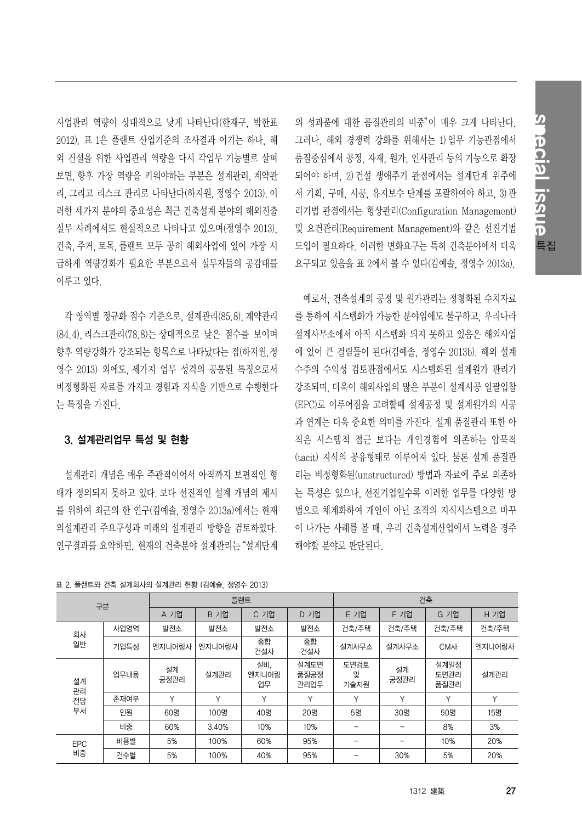special issue Sinecial issue 특집

사업관리 역량이 상대적으로 낮게 나타난다(한재구, 박한표 2012). 표 1은 플랜트 산업기준의 조사결과 이기는 하나, 해 외 건설을 위한 사업관리 역량을 다시 각업무 기능별로 살펴 보면,향후 가장 역량을 키워야하는 부분은 설계관리,계약관 리,그리고 리스크 관리로 나타난다(하지원,정영수 2013).이 러한 세가지 분야의 중요성은 최근 건축설계 분야의 해외진출 실무 사례에서도 현실적으로 나타나고 있으며(정영수 2013), 건축,주거,토목,플랜트 모두 공히 해외사업에 있어 가장 시 급하게 역량강화가 필요한 부분으로서 실무자들의 공감대를 이루고 있다.

각 영역별 정규화 점수 기준으로, 설계관리(85.8),계약관리 (84.4),리스크관리(78.8)는 상대적으로 낮은 점수를 보이며 향후 역량강화가 강조되는 항목으로 나타났다는 점(하지원,정 영수 2013) 외에도, 세가지 업무 성격의 공통된 특징으로서 비정형화된 자료를 가지고 경험과 지식을 기반으로 수행한다 는 특징을 가진다.

## 3. 설계관리업무 특성 및 현황

설계관리 개념은 매우 주관적이어서 아직까지 보편적인 형 태가 정의되지 못하고 있다. 보다 선진적인 설계 개념의 제시 를 위하여 최근의 한 연구(김예솔,정영수 2013a)에서는 현재 의설계관리 주요구성과 미래의 설계관리 방향을 검토하였다. 연구결과를 요약하면, 현재의 건축분야 설계관리는"설계단계 의 성과품에 대한 품질관리의 비중"이 매우 크게 나타난다. 그러나, 해외 경쟁력 강화를 위해서는 1)업무 기능관점에서 품질중심에서 공정, 자재, 원가, 인사관리 등의 기능으로 확장 되어야 하며 2) 건설 생애주기 관점에서는 설계단계 위주에 서 기획, 구매, 시공, 유지보수 단계를 포괄하여야 하고, 3)관 리기법 관점에서는 형상관리(Configuration Management) 및 요건관리(Requirement Management)와 같은 선진기법 도입이 필요하다. 이러한 변화요구는 특히 건축분야에서 더욱 요구되고 있음을 표 2에서 볼 수 있다(김예솔, 정영수 2013a).

예로서, 건축설계의 공정 및 원가관리는 정형화된 수치자료 를 통하여 시스템화가 가능한 분야임에도 불구하고, 우리나라 설계사무소에서 아직 시스템화 되지 못하고 있음은 해외사업 에 있어 큰 걸림돌이 된다(김예솔, 정영수 2013b). 해외 설계 수주의 수익성 검토관점에서도 시스템화된 설계원가 관리가 강조되며,더욱이 해외사업의 많은 부분이 설계시공 일괄입찰 (EPC)로 이루어짐을 고려할때 설계공정 및 설계원가의 시공 과 연계는 더욱 중요한 의미를 가진다. 설계 품질관리 또한 아 직은 시스템적 접근 보다는 개인경험에 의존하는 암묵적 (tacit) 지식의 공유형태로 이루어져 있다. 물론 설계 품질관 리는 비정형화된(unstructured) 방법과 자료에 주로 의존하 는 특성은 있으나, 선진기업일수록 이러한 업무를 다양한 방 법으로 체계화하여 개인이 아닌 조직의 지식시스템으로 바꾸 어 나가는 사례를 볼 때, 우리 건축설계산업에서 노력을 경주 해야할 분야로 판단된다.

| 구분                   |      | 플랜트          |              |                    |                      | 건축                |              |                      |        |
|----------------------|------|--------------|--------------|--------------------|----------------------|-------------------|--------------|----------------------|--------|
|                      |      | A 기업         | B 기업         | C 기업               | D 기업                 | E 기업              | F 기업         | 기업<br>G              | H 기업   |
| 회사<br>일반             | 사업영역 | 발전소          | 발전소          | 발전소                | 발전소                  | 건축/주택             | 건축/주택        | 건축/주택                | 건축/주택  |
|                      | 기업특성 | 엔지니어링사       | 엔지니어링사       | 종합<br>건설사          | 종합<br>건설사            | 설계사무소             | 설계사무소        | CM사                  | 엔지니어링사 |
| 설계<br>관리<br>전담<br>부서 | 업무내용 | 설계<br>공정관리   | 설계관리         | 설비,<br>엔지니어링<br>업무 | 설계도면<br>품질공정<br>관리업무 | 도면검토<br>및<br>기술지원 | 설계<br>공정관리   | 설계일정<br>도면관리<br>품질관리 | 설계관리   |
|                      | 존재여부 | $\checkmark$ | $\checkmark$ | $\checkmark$       | $\checkmark$         | $\checkmark$      | $\checkmark$ | Υ                    | $\vee$ |
|                      | 인원   | 60명          | 100명         | 40명                | 20명                  | 5명                | 30명          | 50명                  | 15명    |
|                      | 비중   | 60%          | 3.40%        | 10%                | 10%                  |                   |              | 8%                   | 3%     |
| <b>EPC</b><br>비중     | 비용별  | 5%           | 100%         | 60%                | 95%                  |                   |              | 10%                  | 20%    |
|                      | 건수별  | 5%           | 100%         | 40%                | 95%                  |                   | 30%          | 5%                   | 20%    |

#### 표 2. 플랜트와 건축 설계회사의 설계관리 현황 (김예솔, 정영수 2013)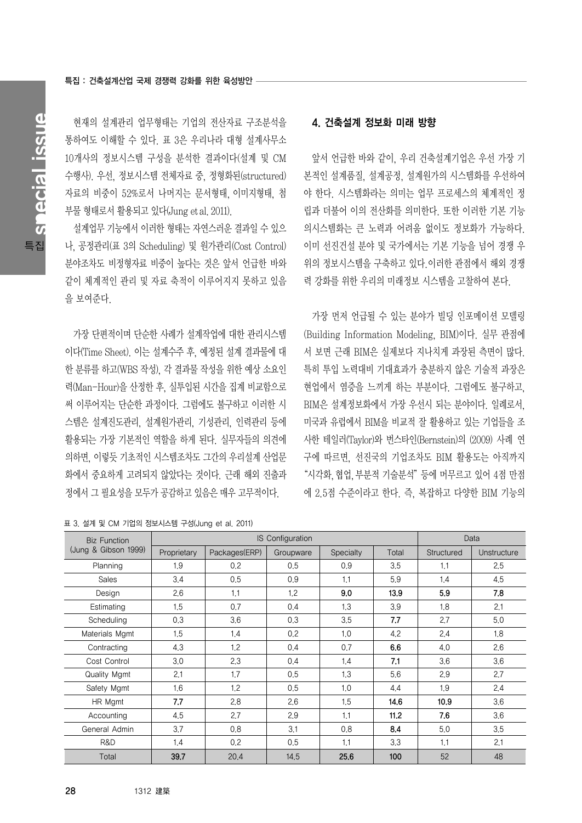현재의 설계관리 업무형태는 기업의 전산자료 구조분석을 통하여도 이해할 수 있다. 표 3은 우리나라 대형 설계사무소 10개사의 정보시스템 구성을 분석한 결과이다(설계 및 CM 수행사). 우선, 정보시스템 전체자료 중, 정형화된(structured) 자료의 비중이 52%로서 나머지는 문서형태, 이미지형태, 첨 부물 형태로서 활용되고 있다(Jung etal.2011).

설계업무 기능에서 이러한 형태는 자연스러운 결과일 수 있으 나, 공정관리(표 3의 Scheduling) 및 원가관리(Cost Control) 분야조차도 비정형자료 비중이 높다는 것은 앞서 언급한 바와 같이 체계적인 관리 및 자료 축적이 이루어지지 못하고 있음 을 보여준다.

가장 단편적이며 단순한 사례가 설계작업에 대한 관리시스템 이다(Time Sheet). 이는 설계수주 후, 예정된 설계 결과물에 대 한 분류를 하고(WBS 작성), 각 결과물 작성을 위한 예상 소요인 력(Man-Hour)을 산정한 후, 실투입된 시간을 집계 비교함으로 써 이루어지는 단순한 과정이다. 그럼에도 불구하고 이러한 시 스템은 설계진도관리, 설계원가관리, 기성관리, 인력관리 등에 활용되는 가장 기본적인 역할을 하게 된다. 실무자들의 의견에 의하면, 이렇듯 기초적인 시스템조차도 그간의 우리설계 산업문 화에서 중요하게 고려되지 않았다는 것이다. 근래 해외 진출과 정에서 그 필요성을 모두가 공감하고 있음은 매우 고무적이다.

표 3. 설계 및 CM 기업의 정보시스템 구성(Jung et al. 2011)

## 4. 건축설계 정보화 미래 방향

앞서 언급한 바와 같이, 우리 건축설계기업은 우선 가장 기 본적인 설계품질, 설계공정, 설계원가의 시스템화를 우선하여 야 한다. 시스템화라는 의미는 업무 프로세스의 체계적인 정 립과 더불어 이의 전산화를 의미한다. 또한 이러한 기본 기능 의시스템화는 큰 노력과 어려움 없이도 정보화가 가능하다. 이미 선진건설 분야 및 국가에서는 기본 기능을 넘어 경쟁 우 위의 정보시스템을 구축하고 있다.이러한 관점에서 해외 경쟁 력 강화를 위한 우리의 미래정보 시스템을 고찰하여 본다.

가장 먼저 언급될 수 있는 분야가 빌딩 인포메이션 모델링 (Building Information Modeling, BIM)이다. 실무 관점에 서 보면 근래 BIM은 실제보다 지나치게 과장된 측면이 많다. 특히 투입 노력대비 기대효과가 충분하지 않은 기술적 과장은 현업에서 염증을 느끼게 하는 부분이다. 그럼에도 불구하고, BIM은 설계정보화에서 가장 우선시 되는 분야이다. 일례로서, 미국과 유럽에서 BIM을 비교적 잘 활용하고 있는 기업들을 조 사한 테일러(Taylor)와 번스타인(Bernstein)의 (2009) 사례 연 구에 따르면, 선진국의 기업조차도 BIM 활용도는 아직까지 "시각화,협업,부분적 기술분석"등에 머무르고 있어 4점 만점 에 2.5점 수준이라고 한다. 즉, 복잡하고 다양한 BIM 기능의

| <b>Biz Function</b><br>(Jung & Gibson 1999) |             | IS Configuration | Data      |           |       |            |             |
|---------------------------------------------|-------------|------------------|-----------|-----------|-------|------------|-------------|
|                                             | Proprietary | Packages(ERP)    | Groupware | Specialty | Total | Structured | Unstructure |
| Planning                                    | 1.9         | 0.2              | 0.5       | 0.9       | 3.5   | 1.1        | 2.5         |
| <b>Sales</b>                                | 3.4         | 0.5              | 0.9       | 1.1       | 5.9   | 1.4        | 4.5         |
| Design                                      | 2,6         | 1.1              | 1.2       | 9.0       | 13.9  | 5.9        | 7.8         |
| Estimating                                  | 1,5         | 0.7              | 0.4       | 1.3       | 3.9   | 1.8        | 2.1         |
| Scheduling                                  | 0,3         | 3.6              | 0.3       | 3.5       | 7,7   | 2.7        | 5.0         |
| Materials Mgmt                              | 1,5         | 1,4              | 0.2       | 1,0       | 4.2   | 2.4        | 1.8         |
| Contracting                                 | 4.3         | 1.2              | 0.4       | 0.7       | 6.6   | 4.0        | 2.6         |
| Cost Control                                | 3.0         | 2.3              | 0,4       | 1.4       | 7,1   | 3.6        | 3.6         |
| Quality Mgmt                                | 2.1         | 1,7              | 0.5       | 1.3       | 5.6   | 2.9        | 2,7         |
| Safety Mgmt                                 | 1.6         | 1.2              | 0.5       | 1,0       | 4.4   | 1.9        | 2.4         |
| HR Mgmt                                     | 7,7         | 2.8              | 2.6       | 1.5       | 14,6  | 10.9       | 3.6         |
| Accounting                                  | 4,5         | 2.7              | 2.9       | 1.1       | 11,2  | 7.6        | 3.6         |
| General Admin                               | 3.7         | 0.8              | 3.1       | 0.8       | 8.4   | 5.0        | 3.5         |
| R&D                                         | 1.4         | 0.2              | 0.5       | 1.1       | 3.3   | 1.1        | 2.1         |
| Total                                       | 39.7        | 20.4             | 14,5      | 25.6      | 100   | 52         | 48          |